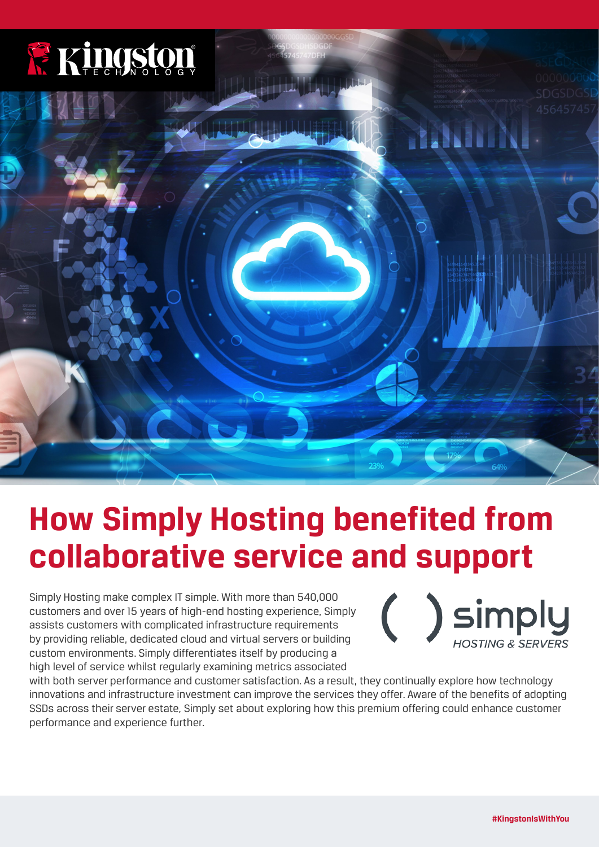

# **How Simply Hosting benefited from collaborative service and support**

Simply Hosting make complex IT simple. With more than 540,000 customers and over 15 years of high-end hosting experience, Simply assists customers with complicated infrastructure requirements by providing reliable, dedicated cloud and virtual servers or building custom environments. Simply differentiates itself by producing a high level of service whilst regularly examining metrics associated

) simply **IOSTING & SERY** 

with both server performance and customer satisfaction. As a result, they continually explore how technology innovations and infrastructure investment can improve the services they offer. Aware of the benefits of adopting SSDs across their server estate, Simply set about exploring how this premium offering could enhance customer performance and experience further.